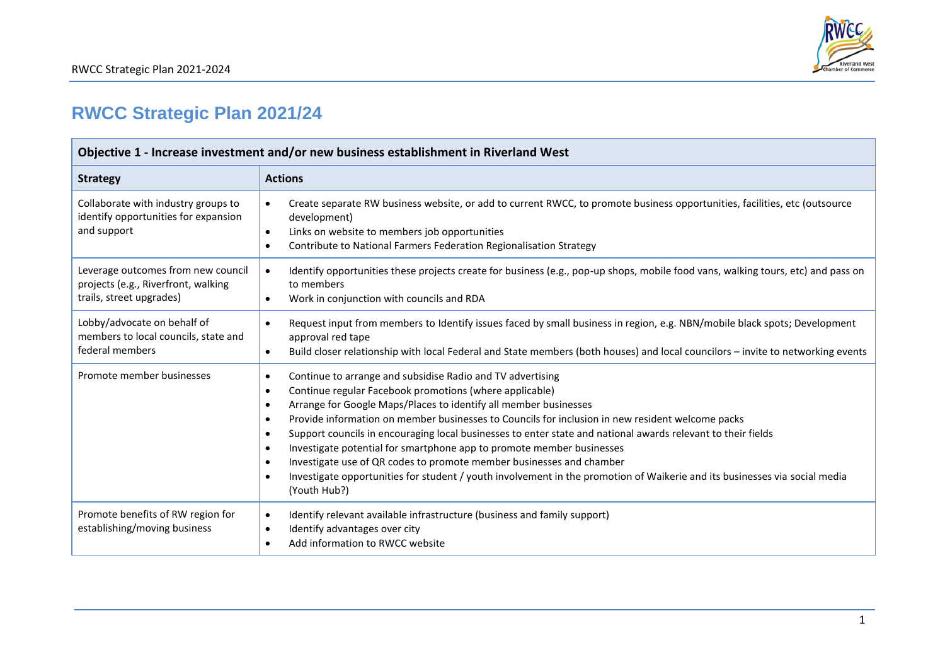

## **RWCC Strategic Plan 2021/24**

| Objective 1 - Increase investment and/or new business establishment in Riverland West                 |                                                                                                                                                                                                                                                                                                                                                                                                                                                                                                                                                                                                                                                                                                                                                                                                                      |
|-------------------------------------------------------------------------------------------------------|----------------------------------------------------------------------------------------------------------------------------------------------------------------------------------------------------------------------------------------------------------------------------------------------------------------------------------------------------------------------------------------------------------------------------------------------------------------------------------------------------------------------------------------------------------------------------------------------------------------------------------------------------------------------------------------------------------------------------------------------------------------------------------------------------------------------|
| <b>Strategy</b>                                                                                       | <b>Actions</b>                                                                                                                                                                                                                                                                                                                                                                                                                                                                                                                                                                                                                                                                                                                                                                                                       |
| Collaborate with industry groups to<br>identify opportunities for expansion<br>and support            | Create separate RW business website, or add to current RWCC, to promote business opportunities, facilities, etc (outsource<br>$\bullet$<br>development)<br>Links on website to members job opportunities<br>$\bullet$<br>Contribute to National Farmers Federation Regionalisation Strategy<br>$\bullet$                                                                                                                                                                                                                                                                                                                                                                                                                                                                                                             |
| Leverage outcomes from new council<br>projects (e.g., Riverfront, walking<br>trails, street upgrades) | Identify opportunities these projects create for business (e.g., pop-up shops, mobile food vans, walking tours, etc) and pass on<br>$\bullet$<br>to members<br>Work in conjunction with councils and RDA<br>$\bullet$                                                                                                                                                                                                                                                                                                                                                                                                                                                                                                                                                                                                |
| Lobby/advocate on behalf of<br>members to local councils, state and<br>federal members                | Request input from members to Identify issues faced by small business in region, e.g. NBN/mobile black spots; Development<br>$\bullet$<br>approval red tape<br>Build closer relationship with local Federal and State members (both houses) and local councilors - invite to networking events<br>$\bullet$                                                                                                                                                                                                                                                                                                                                                                                                                                                                                                          |
| Promote member businesses                                                                             | Continue to arrange and subsidise Radio and TV advertising<br>$\bullet$<br>Continue regular Facebook promotions (where applicable)<br>$\bullet$<br>Arrange for Google Maps/Places to identify all member businesses<br>$\bullet$<br>Provide information on member businesses to Councils for inclusion in new resident welcome packs<br>$\bullet$<br>Support councils in encouraging local businesses to enter state and national awards relevant to their fields<br>$\bullet$<br>Investigate potential for smartphone app to promote member businesses<br>$\bullet$<br>Investigate use of QR codes to promote member businesses and chamber<br>$\bullet$<br>Investigate opportunities for student / youth involvement in the promotion of Waikerie and its businesses via social media<br>$\bullet$<br>(Youth Hub?) |
| Promote benefits of RW region for<br>establishing/moving business                                     | Identify relevant available infrastructure (business and family support)<br>$\bullet$<br>Identify advantages over city<br>$\bullet$<br>Add information to RWCC website<br>$\bullet$                                                                                                                                                                                                                                                                                                                                                                                                                                                                                                                                                                                                                                  |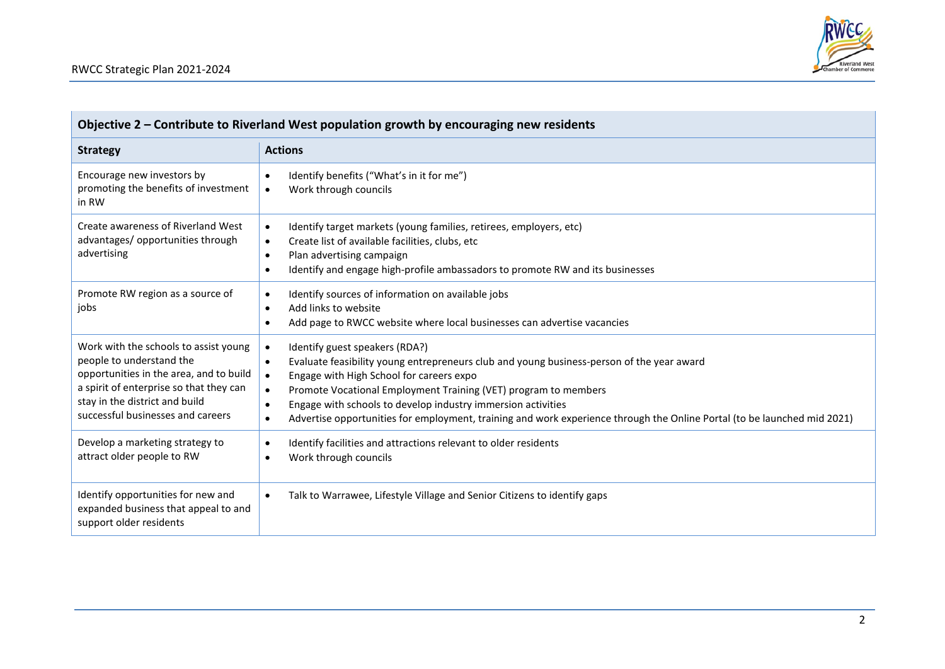

| Objective 2 - Contribute to Riverland West population growth by encouraging new residents                                                                                                                                      |                                                                                                                                                                                                                                                                                                                                                                                                                                                                                                                      |
|--------------------------------------------------------------------------------------------------------------------------------------------------------------------------------------------------------------------------------|----------------------------------------------------------------------------------------------------------------------------------------------------------------------------------------------------------------------------------------------------------------------------------------------------------------------------------------------------------------------------------------------------------------------------------------------------------------------------------------------------------------------|
| <b>Strategy</b>                                                                                                                                                                                                                | <b>Actions</b>                                                                                                                                                                                                                                                                                                                                                                                                                                                                                                       |
| Encourage new investors by<br>promoting the benefits of investment<br>in RW                                                                                                                                                    | Identify benefits ("What's in it for me")<br>$\bullet$<br>Work through councils<br>$\bullet$                                                                                                                                                                                                                                                                                                                                                                                                                         |
| Create awareness of Riverland West<br>advantages/ opportunities through<br>advertising                                                                                                                                         | Identify target markets (young families, retirees, employers, etc)<br>$\bullet$<br>Create list of available facilities, clubs, etc<br>$\bullet$<br>Plan advertising campaign<br>$\bullet$<br>Identify and engage high-profile ambassadors to promote RW and its businesses<br>$\bullet$                                                                                                                                                                                                                              |
| Promote RW region as a source of<br>jobs                                                                                                                                                                                       | Identify sources of information on available jobs<br>$\bullet$<br>Add links to website<br>$\bullet$<br>Add page to RWCC website where local businesses can advertise vacancies<br>$\bullet$                                                                                                                                                                                                                                                                                                                          |
| Work with the schools to assist young<br>people to understand the<br>opportunities in the area, and to build<br>a spirit of enterprise so that they can<br>stay in the district and build<br>successful businesses and careers | $\bullet$<br>Identify guest speakers (RDA?)<br>Evaluate feasibility young entrepreneurs club and young business-person of the year award<br>$\bullet$<br>Engage with High School for careers expo<br>$\bullet$<br>Promote Vocational Employment Training (VET) program to members<br>$\bullet$<br>Engage with schools to develop industry immersion activities<br>$\bullet$<br>Advertise opportunities for employment, training and work experience through the Online Portal (to be launched mid 2021)<br>$\bullet$ |
| Develop a marketing strategy to<br>attract older people to RW                                                                                                                                                                  | Identify facilities and attractions relevant to older residents<br>$\bullet$<br>Work through councils<br>$\bullet$                                                                                                                                                                                                                                                                                                                                                                                                   |
| Identify opportunities for new and<br>expanded business that appeal to and<br>support older residents                                                                                                                          | Talk to Warrawee, Lifestyle Village and Senior Citizens to identify gaps<br>$\bullet$                                                                                                                                                                                                                                                                                                                                                                                                                                |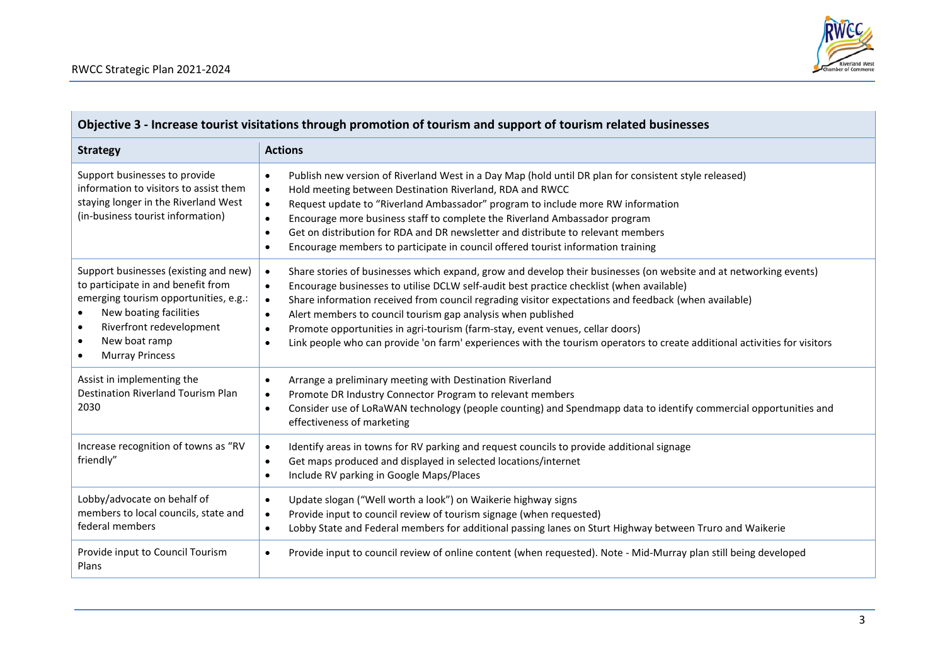| Objective 3 - Increase tourist visitations through promotion of tourism and support of tourism related businesses                                                                                                                                                         |                                                                                                                                                                                                                                                                                                                                                                                                                                                                                                                                                                                                                                                                                   |
|---------------------------------------------------------------------------------------------------------------------------------------------------------------------------------------------------------------------------------------------------------------------------|-----------------------------------------------------------------------------------------------------------------------------------------------------------------------------------------------------------------------------------------------------------------------------------------------------------------------------------------------------------------------------------------------------------------------------------------------------------------------------------------------------------------------------------------------------------------------------------------------------------------------------------------------------------------------------------|
| <b>Strategy</b>                                                                                                                                                                                                                                                           | <b>Actions</b>                                                                                                                                                                                                                                                                                                                                                                                                                                                                                                                                                                                                                                                                    |
| Support businesses to provide<br>information to visitors to assist them<br>staying longer in the Riverland West<br>(in-business tourist information)                                                                                                                      | Publish new version of Riverland West in a Day Map (hold until DR plan for consistent style released)<br>$\bullet$<br>Hold meeting between Destination Riverland, RDA and RWCC<br>$\bullet$<br>Request update to "Riverland Ambassador" program to include more RW information<br>$\bullet$<br>Encourage more business staff to complete the Riverland Ambassador program<br>$\bullet$<br>Get on distribution for RDA and DR newsletter and distribute to relevant members<br>$\bullet$<br>Encourage members to participate in council offered tourist information training<br>$\bullet$                                                                                          |
| Support businesses (existing and new)<br>to participate in and benefit from<br>emerging tourism opportunities, e.g.:<br>New boating facilities<br>$\bullet$<br>Riverfront redevelopment<br>$\bullet$<br>New boat ramp<br>$\bullet$<br><b>Murray Princess</b><br>$\bullet$ | Share stories of businesses which expand, grow and develop their businesses (on website and at networking events)<br>$\bullet$<br>Encourage businesses to utilise DCLW self-audit best practice checklist (when available)<br>$\bullet$<br>Share information received from council regrading visitor expectations and feedback (when available)<br>$\bullet$<br>Alert members to council tourism gap analysis when published<br>$\bullet$<br>Promote opportunities in agri-tourism (farm-stay, event venues, cellar doors)<br>$\bullet$<br>Link people who can provide 'on farm' experiences with the tourism operators to create additional activities for visitors<br>$\bullet$ |
| Assist in implementing the<br>Destination Riverland Tourism Plan<br>2030                                                                                                                                                                                                  | Arrange a preliminary meeting with Destination Riverland<br>$\bullet$<br>Promote DR Industry Connector Program to relevant members<br>$\bullet$<br>Consider use of LoRaWAN technology (people counting) and Spendmapp data to identify commercial opportunities and<br>$\bullet$<br>effectiveness of marketing                                                                                                                                                                                                                                                                                                                                                                    |
| Increase recognition of towns as "RV<br>friendly"                                                                                                                                                                                                                         | Identify areas in towns for RV parking and request councils to provide additional signage<br>$\bullet$<br>Get maps produced and displayed in selected locations/internet<br>$\bullet$<br>Include RV parking in Google Maps/Places<br>$\bullet$                                                                                                                                                                                                                                                                                                                                                                                                                                    |
| Lobby/advocate on behalf of<br>members to local councils, state and<br>federal members                                                                                                                                                                                    | Update slogan ("Well worth a look") on Waikerie highway signs<br>$\bullet$<br>Provide input to council review of tourism signage (when requested)<br>$\bullet$<br>Lobby State and Federal members for additional passing lanes on Sturt Highway between Truro and Waikerie<br>$\bullet$                                                                                                                                                                                                                                                                                                                                                                                           |
| Provide input to Council Tourism<br>Plans                                                                                                                                                                                                                                 | Provide input to council review of online content (when requested). Note - Mid-Murray plan still being developed<br>$\bullet$                                                                                                                                                                                                                                                                                                                                                                                                                                                                                                                                                     |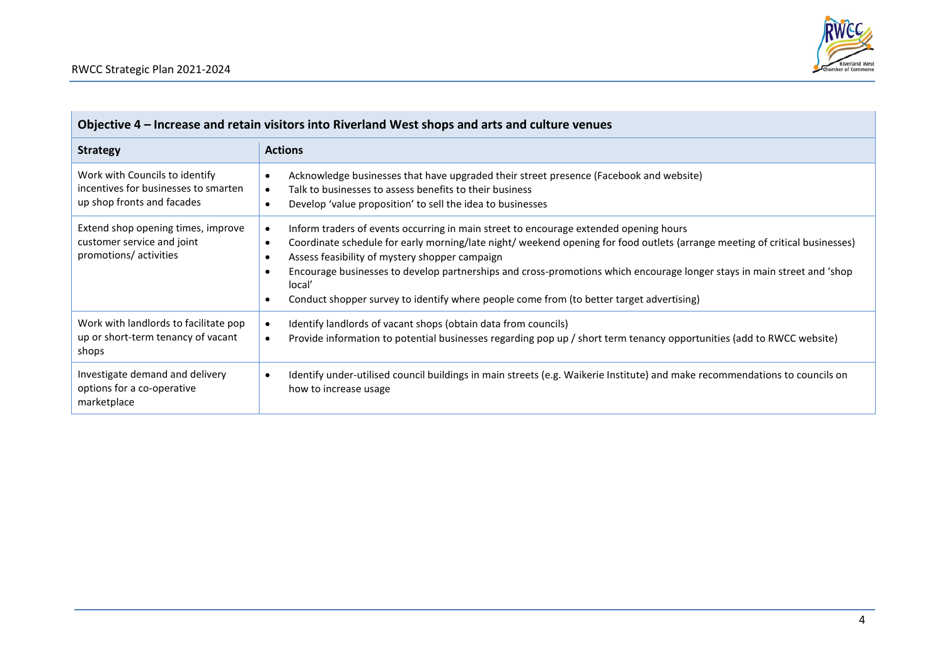

| Objective 4 – Increase and retain visitors into Riverland West shops and arts and culture venues     |                                                                                                                                                                                                                                                                                                                                                                                                                                                                                                                                                             |
|------------------------------------------------------------------------------------------------------|-------------------------------------------------------------------------------------------------------------------------------------------------------------------------------------------------------------------------------------------------------------------------------------------------------------------------------------------------------------------------------------------------------------------------------------------------------------------------------------------------------------------------------------------------------------|
| <b>Strategy</b>                                                                                      | <b>Actions</b>                                                                                                                                                                                                                                                                                                                                                                                                                                                                                                                                              |
| Work with Councils to identify<br>incentives for businesses to smarten<br>up shop fronts and facades | Acknowledge businesses that have upgraded their street presence (Facebook and website)<br>$\bullet$<br>Talk to businesses to assess benefits to their business<br>$\bullet$<br>Develop 'value proposition' to sell the idea to businesses<br>$\bullet$                                                                                                                                                                                                                                                                                                      |
| Extend shop opening times, improve<br>customer service and joint<br>promotions/ activities           | Inform traders of events occurring in main street to encourage extended opening hours<br>$\bullet$<br>Coordinate schedule for early morning/late night/ weekend opening for food outlets (arrange meeting of critical businesses)<br>$\bullet$<br>Assess feasibility of mystery shopper campaign<br>$\bullet$<br>Encourage businesses to develop partnerships and cross-promotions which encourage longer stays in main street and 'shop<br>$\bullet$<br>local'<br>Conduct shopper survey to identify where people come from (to better target advertising) |
| Work with landlords to facilitate pop<br>up or short-term tenancy of vacant<br>shops                 | Identify landlords of vacant shops (obtain data from councils)<br>$\bullet$<br>Provide information to potential businesses regarding pop up / short term tenancy opportunities (add to RWCC website)<br>$\bullet$                                                                                                                                                                                                                                                                                                                                           |
| Investigate demand and delivery<br>options for a co-operative<br>marketplace                         | Identify under-utilised council buildings in main streets (e.g. Waikerie Institute) and make recommendations to councils on<br>$\bullet$<br>how to increase usage                                                                                                                                                                                                                                                                                                                                                                                           |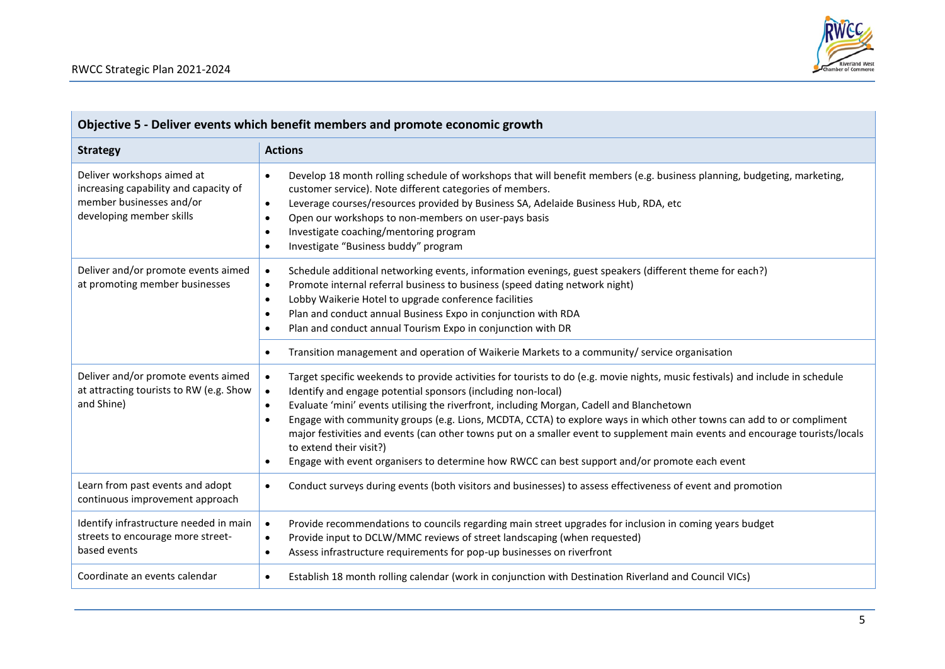| Objective 5 - Deliver events which benefit members and promote economic growth                                              |                                                                                                                                                                                                                                                                                                                                                                                                                                                                                                                                                                                                                                                                                                                                                  |
|-----------------------------------------------------------------------------------------------------------------------------|--------------------------------------------------------------------------------------------------------------------------------------------------------------------------------------------------------------------------------------------------------------------------------------------------------------------------------------------------------------------------------------------------------------------------------------------------------------------------------------------------------------------------------------------------------------------------------------------------------------------------------------------------------------------------------------------------------------------------------------------------|
| <b>Strategy</b>                                                                                                             | <b>Actions</b>                                                                                                                                                                                                                                                                                                                                                                                                                                                                                                                                                                                                                                                                                                                                   |
| Deliver workshops aimed at<br>increasing capability and capacity of<br>member businesses and/or<br>developing member skills | Develop 18 month rolling schedule of workshops that will benefit members (e.g. business planning, budgeting, marketing,<br>$\bullet$<br>customer service). Note different categories of members.<br>Leverage courses/resources provided by Business SA, Adelaide Business Hub, RDA, etc<br>$\bullet$<br>Open our workshops to non-members on user-pays basis<br>$\bullet$<br>Investigate coaching/mentoring program<br>$\bullet$<br>Investigate "Business buddy" program<br>$\bullet$                                                                                                                                                                                                                                                            |
| Deliver and/or promote events aimed<br>at promoting member businesses                                                       | Schedule additional networking events, information evenings, guest speakers (different theme for each?)<br>$\bullet$<br>Promote internal referral business to business (speed dating network night)<br>$\bullet$<br>Lobby Waikerie Hotel to upgrade conference facilities<br>$\bullet$<br>Plan and conduct annual Business Expo in conjunction with RDA<br>$\bullet$<br>Plan and conduct annual Tourism Expo in conjunction with DR<br>$\bullet$                                                                                                                                                                                                                                                                                                 |
|                                                                                                                             | Transition management and operation of Waikerie Markets to a community/ service organisation<br>$\bullet$                                                                                                                                                                                                                                                                                                                                                                                                                                                                                                                                                                                                                                        |
| Deliver and/or promote events aimed<br>at attracting tourists to RW (e.g. Show<br>and Shine)                                | Target specific weekends to provide activities for tourists to do (e.g. movie nights, music festivals) and include in schedule<br>$\bullet$<br>Identify and engage potential sponsors (including non-local)<br>$\bullet$<br>Evaluate 'mini' events utilising the riverfront, including Morgan, Cadell and Blanchetown<br>$\bullet$<br>Engage with community groups (e.g. Lions, MCDTA, CCTA) to explore ways in which other towns can add to or compliment<br>$\bullet$<br>major festivities and events (can other towns put on a smaller event to supplement main events and encourage tourists/locals<br>to extend their visit?)<br>Engage with event organisers to determine how RWCC can best support and/or promote each event<br>$\bullet$ |
| Learn from past events and adopt<br>continuous improvement approach                                                         | Conduct surveys during events (both visitors and businesses) to assess effectiveness of event and promotion<br>$\bullet$                                                                                                                                                                                                                                                                                                                                                                                                                                                                                                                                                                                                                         |
| Identify infrastructure needed in main<br>streets to encourage more street-<br>based events                                 | Provide recommendations to councils regarding main street upgrades for inclusion in coming years budget<br>$\bullet$<br>Provide input to DCLW/MMC reviews of street landscaping (when requested)<br>$\bullet$<br>Assess infrastructure requirements for pop-up businesses on riverfront<br>$\bullet$                                                                                                                                                                                                                                                                                                                                                                                                                                             |
| Coordinate an events calendar                                                                                               | Establish 18 month rolling calendar (work in conjunction with Destination Riverland and Council VICs)<br>$\bullet$                                                                                                                                                                                                                                                                                                                                                                                                                                                                                                                                                                                                                               |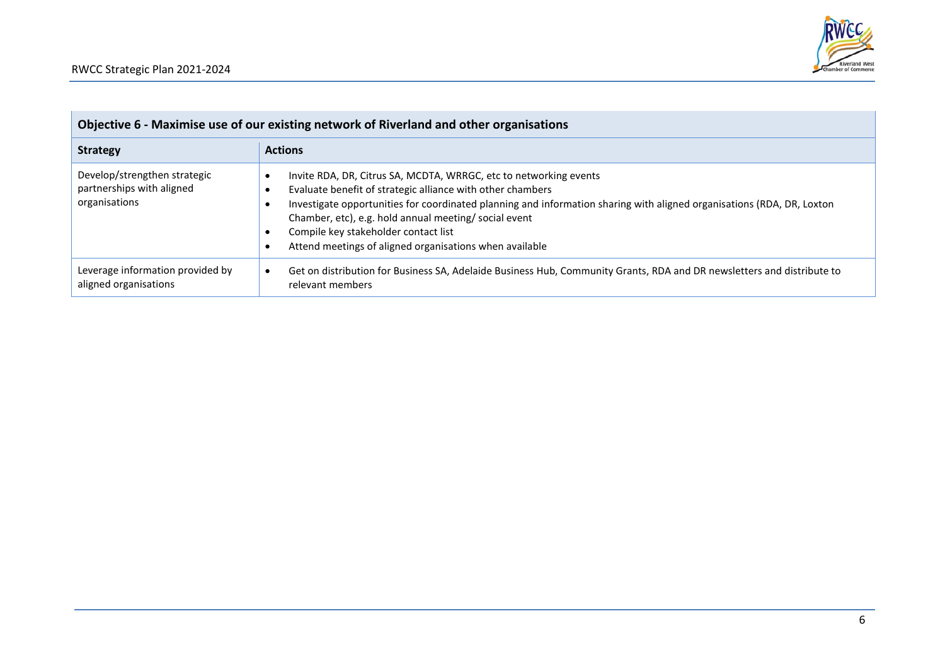

| Objective 6 - Maximise use of our existing network of Riverland and other organisations |                                                                                                                                                                                                                                                                                                                                                                                                                       |
|-----------------------------------------------------------------------------------------|-----------------------------------------------------------------------------------------------------------------------------------------------------------------------------------------------------------------------------------------------------------------------------------------------------------------------------------------------------------------------------------------------------------------------|
| <b>Strategy</b>                                                                         | <b>Actions</b>                                                                                                                                                                                                                                                                                                                                                                                                        |
| Develop/strengthen strategic<br>partnerships with aligned<br>organisations              | Invite RDA, DR, Citrus SA, MCDTA, WRRGC, etc to networking events<br>Evaluate benefit of strategic alliance with other chambers<br>Investigate opportunities for coordinated planning and information sharing with aligned organisations (RDA, DR, Loxton<br>Chamber, etc), e.g. hold annual meeting/ social event<br>Compile key stakeholder contact list<br>Attend meetings of aligned organisations when available |
| Leverage information provided by<br>aligned organisations                               | Get on distribution for Business SA, Adelaide Business Hub, Community Grants, RDA and DR newsletters and distribute to<br>٠<br>relevant members                                                                                                                                                                                                                                                                       |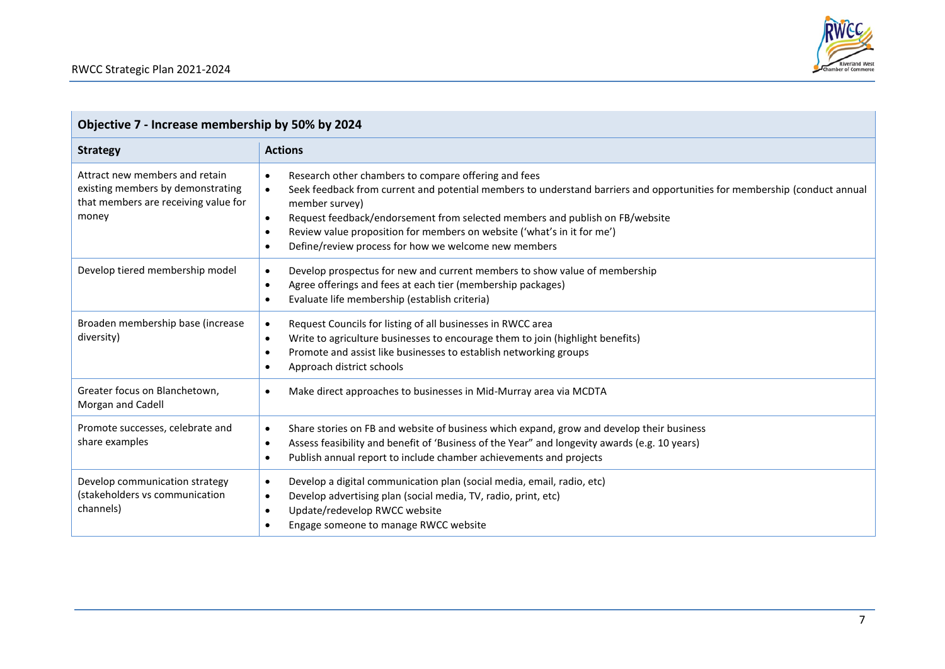| Objective 7 - Increase membership by 50% by 2024                                                                     |                                                                                                                                                                                                                                                                                                                                                                                                                                                                                        |
|----------------------------------------------------------------------------------------------------------------------|----------------------------------------------------------------------------------------------------------------------------------------------------------------------------------------------------------------------------------------------------------------------------------------------------------------------------------------------------------------------------------------------------------------------------------------------------------------------------------------|
| <b>Strategy</b>                                                                                                      | <b>Actions</b>                                                                                                                                                                                                                                                                                                                                                                                                                                                                         |
| Attract new members and retain<br>existing members by demonstrating<br>that members are receiving value for<br>money | Research other chambers to compare offering and fees<br>$\bullet$<br>Seek feedback from current and potential members to understand barriers and opportunities for membership (conduct annual<br>$\bullet$<br>member survey)<br>Request feedback/endorsement from selected members and publish on FB/website<br>$\bullet$<br>Review value proposition for members on website ('what's in it for me')<br>$\bullet$<br>Define/review process for how we welcome new members<br>$\bullet$ |
| Develop tiered membership model                                                                                      | Develop prospectus for new and current members to show value of membership<br>$\bullet$<br>Agree offerings and fees at each tier (membership packages)<br>$\bullet$<br>Evaluate life membership (establish criteria)<br>$\bullet$                                                                                                                                                                                                                                                      |
| Broaden membership base (increase<br>diversity)                                                                      | Request Councils for listing of all businesses in RWCC area<br>$\bullet$<br>Write to agriculture businesses to encourage them to join (highlight benefits)<br>$\bullet$<br>Promote and assist like businesses to establish networking groups<br>$\bullet$<br>Approach district schools                                                                                                                                                                                                 |
| Greater focus on Blanchetown,<br>Morgan and Cadell                                                                   | Make direct approaches to businesses in Mid-Murray area via MCDTA                                                                                                                                                                                                                                                                                                                                                                                                                      |
| Promote successes, celebrate and<br>share examples                                                                   | Share stories on FB and website of business which expand, grow and develop their business<br>$\bullet$<br>Assess feasibility and benefit of 'Business of the Year" and longevity awards (e.g. 10 years)<br>$\bullet$<br>Publish annual report to include chamber achievements and projects<br>$\bullet$                                                                                                                                                                                |
| Develop communication strategy<br>(stakeholders vs communication<br>channels)                                        | Develop a digital communication plan (social media, email, radio, etc)<br>$\bullet$<br>Develop advertising plan (social media, TV, radio, print, etc)<br>$\bullet$<br>Update/redevelop RWCC website<br>$\bullet$<br>Engage someone to manage RWCC website                                                                                                                                                                                                                              |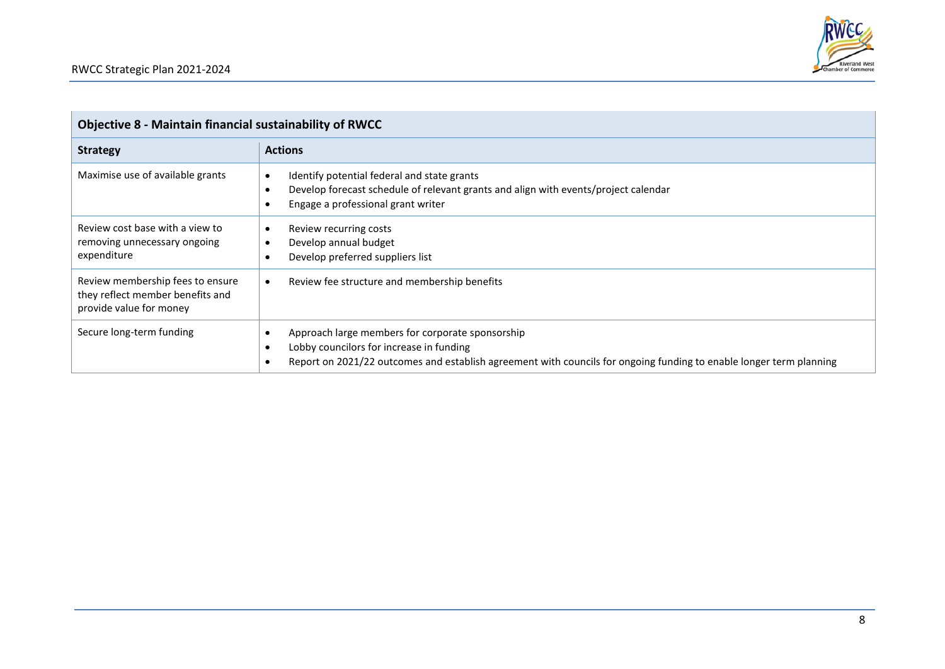

| <b>Objective 8 - Maintain financial sustainability of RWCC</b>                                  |                                                                                                                                                                                                                                  |
|-------------------------------------------------------------------------------------------------|----------------------------------------------------------------------------------------------------------------------------------------------------------------------------------------------------------------------------------|
| <b>Strategy</b>                                                                                 | <b>Actions</b>                                                                                                                                                                                                                   |
| Maximise use of available grants                                                                | Identify potential federal and state grants<br>$\bullet$<br>Develop forecast schedule of relevant grants and align with events/project calendar<br>$\bullet$<br>Engage a professional grant writer                               |
| Review cost base with a view to<br>removing unnecessary ongoing<br>expenditure                  | Review recurring costs<br>٠<br>Develop annual budget<br>$\bullet$<br>Develop preferred suppliers list                                                                                                                            |
| Review membership fees to ensure<br>they reflect member benefits and<br>provide value for money | Review fee structure and membership benefits<br>$\bullet$                                                                                                                                                                        |
| Secure long-term funding                                                                        | Approach large members for corporate sponsorship<br>Lobby councilors for increase in funding<br>$\bullet$<br>Report on 2021/22 outcomes and establish agreement with councils for ongoing funding to enable longer term planning |